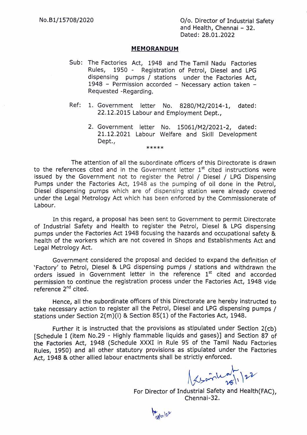## MEMORANDUM

- Sub: The Factories Act, 1948 and The Tamil Nadu Factories Rules dispensing pumps  $\overline{\phantom{a}}$  stations under the Factories Act, 1948 - Permission accorded - Necessary action taken -Requested -Regarding. 1950 - Registration of Petrol, Diesel and LPG
- Ref: 1. Government letter No. 8280/M2/2014-1, dated: 22.12.2015 Labour and Employment Dept.,
	- 2. Government letter No. 15061/M2/2021-2, dated: 21.12.2021 Labour Welfare and Skill Development Dept.,<br>\*\*\*\*\*

The attention of all the subordinate officers of this Directorate is drawn to the references cited and in the Government letter  $1<sup>st</sup>$  cited instructions were issued by the Government not to register the Petrol / Diesel / LPG Dispensing Pumps under the Factories Act, 1948 as the pumping of oil done in the Petrol, Diesel dispensing pumps which are of dispensing station were already covered under the Legal Metrology Act which has been enforced by the Commissionerate of Labour.

In this regard, a proposal has been sent to Government to permit Directorate of Industrial Safety and Health to register the Petrol, Diesel & LPG dispensing pumps under the Factories Act 1948 focusing the hazards and occupational safety & health of the workers which are not covered in Shops and Establishments Act and Legal Metrology Act.

Government considered the proposal and decided to expand the definition of Factory' to Petrol, Diesel & LPG dispensing pumps/ stations and withdrawn the orders issued in Government letter in the reference  $1<sup>st</sup>$  cited and accorded permission to continue the registration process under the Factories Act, 1948 vide reference  $2^{nd}$  cited.

Hence, all the subordinate officers of this Directorate are hereby instructed to take necessary action to register all the Petrol, Diesel and LPG dispensing pumps / stations under Section 2(m)(i) & Section 85(1) of the Factories Act, 1948.

Further it is instructed that the provisions as stipulated under Section 2(cb) [Schedule I (item No.29 - Highly flammable liquids and gases)] and Section 87 of the Factories Act, 1948 (Schedule XXXI in Rule 95 of the Tamil Nadu Factories Rules, 1950) and all other statutory provisions as stipulated under the Factories Act, 1948 & other allied labour enactments shall be strictly enforced.

 $\frac{1}{2}$ 

 $\chi_{\text{spin}}$ 

For Director of Industrial Safety and Health(FAC), Chennai-32.